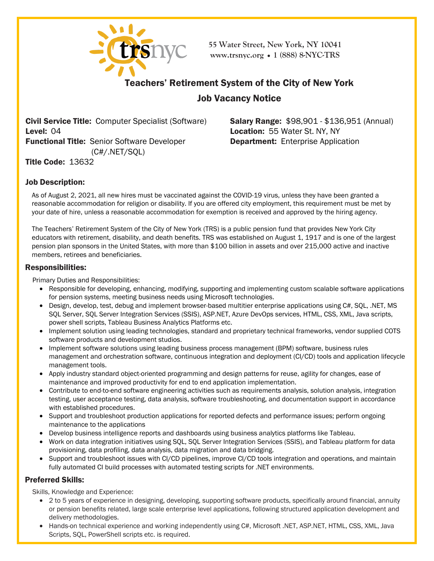

**55 Water Street, New York, NY 10041 [www.trsnyc](http://www.trsnyc.org/).org • 1 (888) 8-NYC-TRS**

# Teachers' Retirement System of the City of New York

# Job Vacancy Notice

Civil Service Title: Computer Specialist (Software) Level: 04 Functional Title: Senior Software Developer (C#/.NET/SQL)

Salary Range: \$98,901 - \$136,951 (Annual) Location: 55 Water St. NY, NY Department: Enterprise Application

Title Code: 13632

## Job Description:

As of August 2, 2021, all new hires must be vaccinated against the COVID-19 virus, unless they have been granted a reasonable accommodation for religion or disability. If you are offered city employment, this requirement must be met by your date of hire, unless a reasonable accommodation for exemption is received and approved by the hiring agency.

The Teachers' Retirement System of the City of New York (TRS) is a public pension fund that provides New York City educators with retirement, disability, and death benefits. TRS was established on August 1, 1917 and is one of the largest pension plan sponsors in the United States, with more than \$100 billion in assets and over 215,000 active and inactive members, retirees and beneficiaries.

### Responsibilities:

Primary Duties and Responsibilities:

- Responsible for developing, enhancing, modifying, supporting and implementing custom scalable software applications for pension systems, meeting business needs using Microsoft technologies.
- Design, develop, test, debug and implement browser-based multitier enterprise applications using C#, SQL, .NET, MS SQL Server, SQL Server Integration Services (SSIS), ASP.NET, Azure DevOps services, HTML, CSS, XML, Java scripts, power shell scripts, Tableau Business Analytics Platforms etc.
- Implement solution using leading technologies, standard and proprietary technical frameworks, vendor supplied COTS software products and development studios.
- Implement software solutions using leading business process management (BPM) software, business rules management and orchestration software, continuous integration and deployment (CI/CD) tools and application lifecycle management tools.
- Apply industry standard object-oriented programming and design patterns for reuse, agility for changes, ease of maintenance and improved productivity for end to end application implementation.
- Contribute to end-to-end software engineering activities such as requirements analysis, solution analysis, integration testing, user acceptance testing, data analysis, software troubleshooting, and documentation support in accordance with established procedures.
- Support and troubleshoot production applications for reported defects and performance issues; perform ongoing maintenance to the applications
- Develop business intelligence reports and dashboards using business analytics platforms like Tableau.
- Work on data integration initiatives using SQL, SQL Server Integration Services (SSIS), and Tableau platform for data provisioning, data profiling, data analysis, data migration and data bridging.
- Support and troubleshoot issues with CI/CD pipelines, improve CI/CD tools integration and operations, and maintain fully automated CI build processes with automated testing scripts for .NET environments.

## Preferred Skills:

Skills, Knowledge and Experience:

- 2 to 5 years of experience in designing, developing, supporting software products, specifically around financial, annuity or pension benefits related, large scale enterprise level applications, following structured application development and delivery methodologies.
- Hands-on technical experience and working independently using C#, Microsoft .NET, ASP.NET, HTML, CSS, XML, Java Scripts, SQL, PowerShell scripts etc. is required.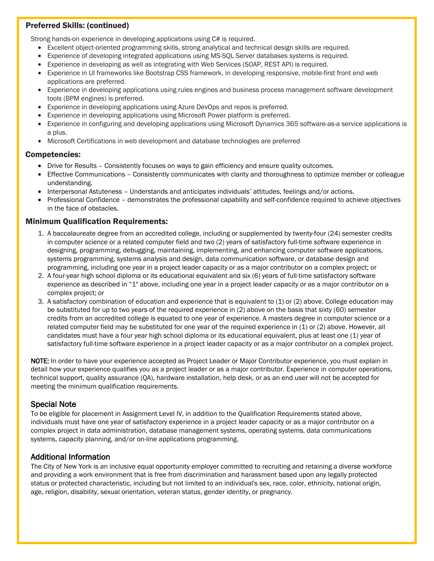## Preferred Skills: (continued)

Strong hands-on experience in developing applications using C# is required.

- Excellent object-oriented programming skills, strong analytical and technical design skills are required.
- Experience of developing integrated applications using MS-SQL Server databases systems is required.
- Experience in developing as well as integrating with Web Services (SOAP, REST API) is required.
- Experience in UI frameworks like Bootstrap CSS framework, in developing responsive, mobile-first front end web applications are preferred.
- Experience in developing applications using rules engines and business process management software development tools (BPM engines) is preferred.
- Experience in developing applications using Azure DevOps and repos is preferred.
- Experience in developing applications using Microsoft Power platform is preferred.
- Experience in configuring and developing applications using Microsoft Dynamics 365 software-as-a service applications is a plus.
- Microsoft Certifications in web development and database technologies are preferred

#### Competencies:

- Drive for Results Consistently focuses on ways to gain efficiency and ensure quality outcomes.
- Effective Communications Consistently communicates with clarity and thoroughness to optimize member or colleague understanding.
- Interpersonal Astuteness Understands and anticipates individuals' attitudes, feelings and/or actions.
- Professional Confidence demonstrates the professional capability and self-confidence required to achieve objectives in the face of obstacles.

### Minimum Qualification Requirements:

- 1. A baccalaureate degree from an accredited college, including or supplemented by twenty-four (24) semester credits in computer science or a related computer field and two (2) years of satisfactory full-time software experience in designing, programming, debugging, maintaining, implementing, and enhancing computer software applications, systems programming, systems analysis and design, data communication software, or database design and programming, including one year in a project leader capacity or as a major contributor on a complex project; or
- 2. A four-year high school diploma or its educational equivalent and six (6) years of full-time satisfactory software experience as described in "1" above, including one year in a project leader capacity or as a major contributor on a complex project; or
- 3. A satisfactory combination of education and experience that is equivalent to (1) or (2) above. College education may be substituted for up to two years of the required experience in (2) above on the basis that sixty (60) semester credits from an accredited college is equated to one year of experience. A masters degree in computer science or a related computer field may be substituted for one year of the required experience in (1) or (2) above. However, all candidates must have a four year high school diploma or its educational equivalent, plus at least one (1) year of satisfactory full-time software experience in a project leader capacity or as a major contributor on a complex project.

NOTE: In order to have your experience accepted as Project Leader or Major Contributor experience, you must explain in detail how your experience qualifies you as a project leader or as a major contributor. Experience in computer operations, technical support, quality assurance (QA), hardware installation, help desk, or as an end user will not be accepted for meeting the minimum qualification requirements.

## Special Note

To be eligible for placement in Assignment Level IV, in addition to the Qualification Requirements stated above, individuals must have one year of satisfactory experience in a project leader capacity or as a major contributor on a complex project in data administration, database management systems, operating systems, data communications systems, capacity planning, and/or on-line applications programming.

## Additional Information

The City of New York is an inclusive equal opportunity employer committed to recruiting and retaining a diverse workforce and providing a work environment that is free from discrimination and harassment based upon any legally protected status or protected characteristic, including but not limited to an individual's sex, race, color, ethnicity, national origin, age, religion, disability, sexual orientation, veteran status, gender identity, or pregnancy.